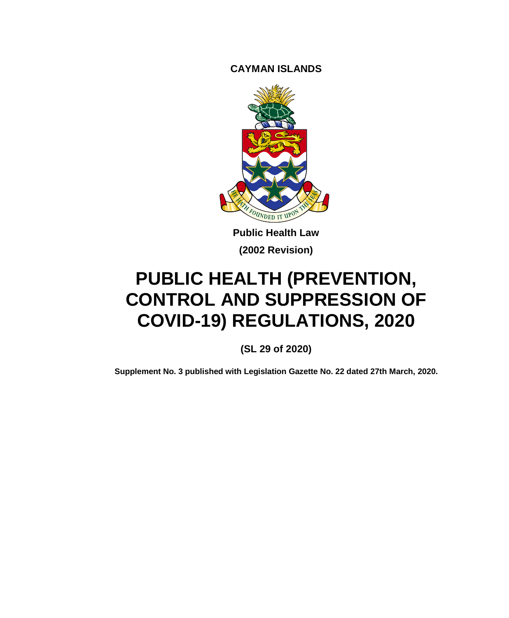**CAYMAN ISLANDS**



**Public Health Law (2002 Revision)**

# **PUBLIC HEALTH (PREVENTION, CONTROL AND SUPPRESSION OF COVID-19) REGULATIONS, 2020**

**(SL 29 of 2020)**

**Supplement No. 3 published with Legislation Gazette No. 22 dated 27th March, 2020.**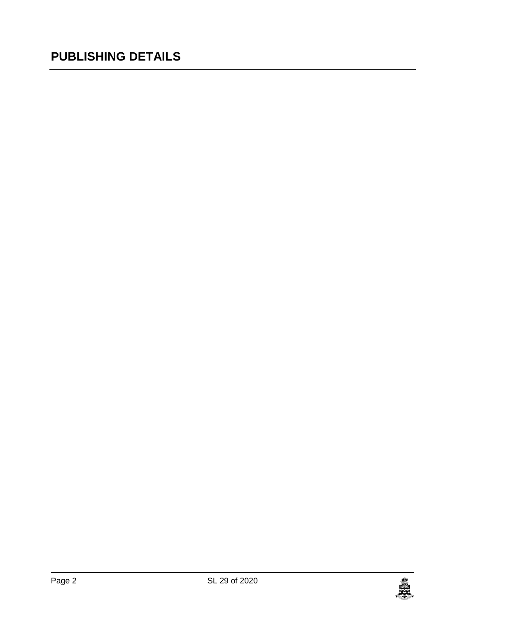## **PUBLISHING DETAILS**

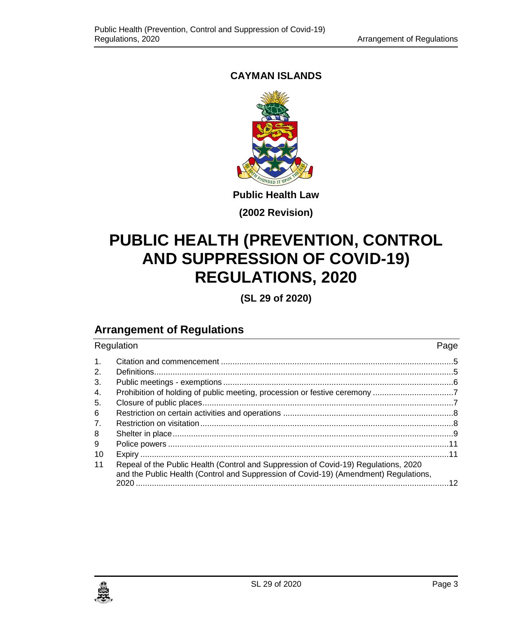## **CAYMAN ISLANDS**



**Public Health Law**

**(2002 Revision)**

## **PUBLIC HEALTH (PREVENTION, CONTROL AND SUPPRESSION OF COVID-19) REGULATIONS, 2020**

**(SL 29 of 2020)**

## **Arrangement of Regulations**

| Regulation     |                                                                                                                                                                             | Page |
|----------------|-----------------------------------------------------------------------------------------------------------------------------------------------------------------------------|------|
| $\mathbf{1}$ . |                                                                                                                                                                             |      |
| 2.             |                                                                                                                                                                             |      |
| 3.             |                                                                                                                                                                             |      |
| 4.             |                                                                                                                                                                             |      |
| 5.             |                                                                                                                                                                             |      |
| 6              |                                                                                                                                                                             |      |
| 7.             |                                                                                                                                                                             |      |
| 8              |                                                                                                                                                                             |      |
| 9              |                                                                                                                                                                             |      |
| 10             |                                                                                                                                                                             |      |
| 11             | Repeal of the Public Health (Control and Suppression of Covid-19) Regulations, 2020<br>and the Public Health (Control and Suppression of Covid-19) (Amendment) Regulations, |      |
|                |                                                                                                                                                                             |      |

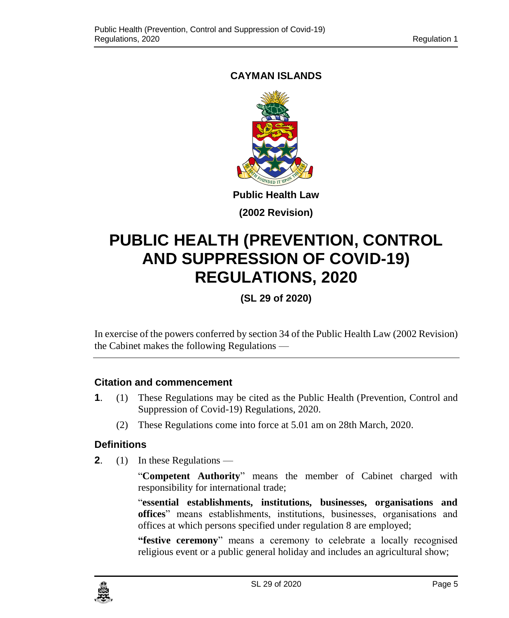## <span id="page-4-0"></span>**CAYMAN ISLANDS**



**Public Health Law**

**(2002 Revision)**

## **PUBLIC HEALTH (PREVENTION, CONTROL AND SUPPRESSION OF COVID-19) REGULATIONS, 2020**

**(SL 29 of 2020)**

In exercise of the powers conferred by section 34 of the Public Health Law (2002 Revision) the Cabinet makes the following Regulations —

## **1. Citation and commencement**

- **1**. (1) These Regulations may be cited as the Public Health (Prevention, Control and Suppression of Covid-19) Regulations, 2020.
	- (2) These Regulations come into force at 5.01 am on 28th March, 2020.

## <span id="page-4-1"></span>**2. Definitions**

**2**. (1) In these Regulations —

"**Competent Authority**" means the member of Cabinet charged with responsibility for international trade;

"**essential establishments, institutions, businesses, organisations and offices**" means establishments, institutions, businesses, organisations and offices at which persons specified under regulation 8 are employed;

**"festive ceremony**" means a ceremony to celebrate a locally recognised religious event or a public general holiday and includes an agricultural show;

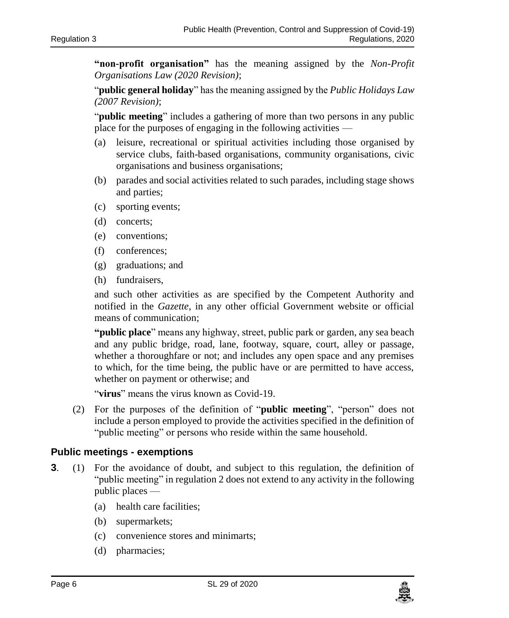**"non-profit organisation"** has the meaning assigned by the *Non-Profit Organisations Law (2020 Revision)*;

"**public general holiday**" has the meaning assigned by the *Public Holidays Law (2007 Revision)*;

"**public meeting**" includes a gathering of more than two persons in any public place for the purposes of engaging in the following activities —

- (a) leisure, recreational or spiritual activities including those organised by service clubs, faith-based organisations, community organisations, civic organisations and business organisations;
- (b) parades and social activities related to such parades, including stage shows and parties;
- (c) sporting events;
- (d) concerts;
- (e) conventions;
- (f) conferences;
- (g) graduations; and
- (h) fundraisers,

and such other activities as are specified by the Competent Authority and notified in the *Gazette*, in any other official Government website or official means of communication;

**"public place**" means any highway, street, public park or garden, any sea beach and any public bridge, road, lane, footway, square, court, alley or passage, whether a thoroughfare or not; and includes any open space and any premises to which, for the time being, the public have or are permitted to have access, whether on payment or otherwise; and

"**virus**" means the virus known as Covid-19.

(2) For the purposes of the definition of "**public meeting**", "person" does not include a person employed to provide the activities specified in the definition of "public meeting" or persons who reside within the same household.

#### <span id="page-5-0"></span>**3. Public meetings - exemptions**

- **3**. (1) For the avoidance of doubt, and subject to this regulation, the definition of "public meeting" in regulation 2 does not extend to any activity in the following public places —
	- (a) health care facilities;
	- (b) supermarkets;
	- (c) convenience stores and minimarts;
	- (d) pharmacies;

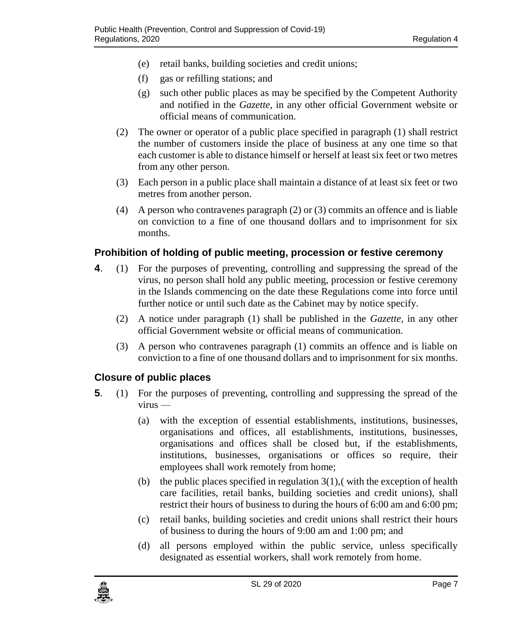- (e) retail banks, building societies and credit unions;
- (f) gas or refilling stations; and
- (g) such other public places as may be specified by the Competent Authority and notified in the *Gazette*, in any other official Government website or official means of communication.
- (2) The owner or operator of a public place specified in paragraph (1) shall restrict the number of customers inside the place of business at any one time so that each customer is able to distance himself or herself at least six feet or two metres from any other person.
- (3) Each person in a public place shall maintain a distance of at least six feet or two metres from another person.
- (4) A person who contravenes paragraph (2) or (3) commits an offence and is liable on conviction to a fine of one thousand dollars and to imprisonment for six months.

### <span id="page-6-0"></span>**4. Prohibition of holding of public meeting, procession or festive ceremony**

- **4**. (1) For the purposes of preventing, controlling and suppressing the spread of the virus, no person shall hold any public meeting, procession or festive ceremony in the Islands commencing on the date these Regulations come into force until further notice or until such date as the Cabinet may by notice specify.
	- (2) A notice under paragraph (1) shall be published in the *Gazette,* in any other official Government website or official means of communication.
	- (3) A person who contravenes paragraph (1) commits an offence and is liable on conviction to a fine of one thousand dollars and to imprisonment for six months.

#### <span id="page-6-1"></span>**5. Closure of public places**

- **5**. (1) For the purposes of preventing, controlling and suppressing the spread of the virus —
	- (a) with the exception of essential establishments, institutions, businesses, organisations and offices, all establishments, institutions, businesses, organisations and offices shall be closed but, if the establishments, institutions, businesses, organisations or offices so require, their employees shall work remotely from home;
	- (b) the public places specified in regulation  $3(1)$ , (with the exception of health care facilities, retail banks, building societies and credit unions), shall restrict their hours of business to during the hours of 6:00 am and 6:00 pm;
	- (c) retail banks, building societies and credit unions shall restrict their hours of business to during the hours of 9:00 am and 1:00 pm; and
	- (d) all persons employed within the public service, unless specifically designated as essential workers, shall work remotely from home.

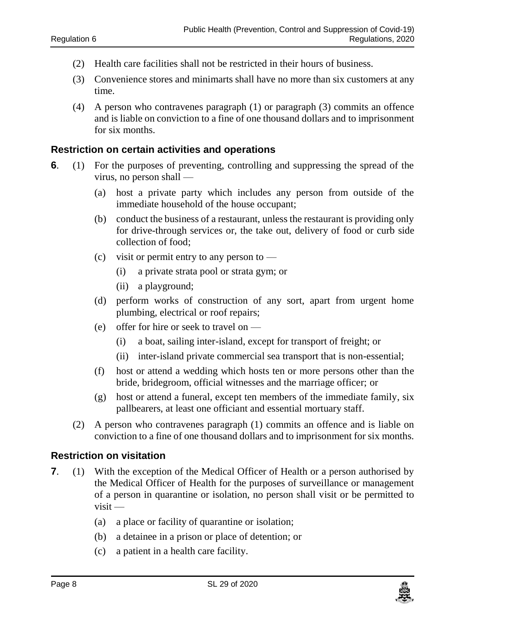- (2) Health care facilities shall not be restricted in their hours of business.
- (3) Convenience stores and minimarts shall have no more than six customers at any time.
- (4) A person who contravenes paragraph (1) or paragraph (3) commits an offence and is liable on conviction to a fine of one thousand dollars and to imprisonment for six months.

#### <span id="page-7-0"></span>**6 Restriction on certain activities and operations**

- **6**. (1) For the purposes of preventing, controlling and suppressing the spread of the virus, no person shall —
	- (a) host a private party which includes any person from outside of the immediate household of the house occupant;
	- (b) conduct the business of a restaurant, unless the restaurant is providing only for drive-through services or, the take out, delivery of food or curb side collection of food;
	- (c) visit or permit entry to any person to
		- (i) a private strata pool or strata gym; or
		- (ii) a playground;
	- (d) perform works of construction of any sort, apart from urgent home plumbing, electrical or roof repairs;
	- (e) offer for hire or seek to travel on
		- (i) a boat, sailing inter-island, except for transport of freight; or
		- (ii) inter-island private commercial sea transport that is non-essential;
	- (f) host or attend a wedding which hosts ten or more persons other than the bride, bridegroom, official witnesses and the marriage officer; or
	- (g) host or attend a funeral, except ten members of the immediate family, six pallbearers, at least one officiant and essential mortuary staff.
	- (2) A person who contravenes paragraph (1) commits an offence and is liable on conviction to a fine of one thousand dollars and to imprisonment for six months.

#### <span id="page-7-1"></span>**7. Restriction on visitation**

- **7.** (1) With the exception of the Medical Officer of Health or a person authorised by the Medical Officer of Health for the purposes of surveillance or management of a person in quarantine or isolation, no person shall visit or be permitted to visit —
	- (a) a place or facility of quarantine or isolation;
	- (b) a detainee in a prison or place of detention; or
	- (c) a patient in a health care facility.

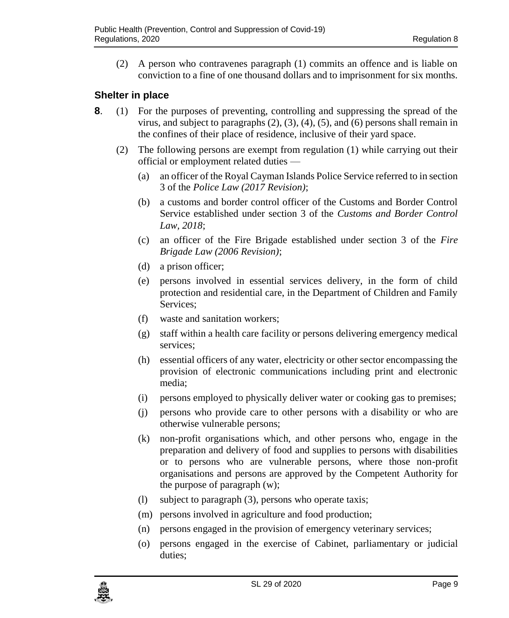(2) A person who contravenes paragraph (1) commits an offence and is liable on conviction to a fine of one thousand dollars and to imprisonment for six months.

#### <span id="page-8-0"></span>**8 Shelter in place**

- **8**. (1) For the purposes of preventing, controlling and suppressing the spread of the virus, and subject to paragraphs  $(2)$ ,  $(3)$ ,  $(4)$ ,  $(5)$ , and  $(6)$  persons shall remain in the confines of their place of residence, inclusive of their yard space.
	- (2) The following persons are exempt from regulation (1) while carrying out their official or employment related duties —
		- (a) an officer of the Royal Cayman Islands Police Service referred to in section 3 of the *Police Law (2017 Revision)*;
		- (b) a customs and border control officer of the Customs and Border Control Service established under section 3 of the *Customs and Border Control Law, 2018*;
		- (c) an officer of the Fire Brigade established under section 3 of the *Fire Brigade Law (2006 Revision)*;
		- (d) a prison officer;
		- (e) persons involved in essential services delivery, in the form of child protection and residential care, in the Department of Children and Family Services;
		- (f) waste and sanitation workers;
		- (g) staff within a health care facility or persons delivering emergency medical services;
		- (h) essential officers of any water, electricity or other sector encompassing the provision of electronic communications including print and electronic media;
		- (i) persons employed to physically deliver water or cooking gas to premises;
		- (j) persons who provide care to other persons with a disability or who are otherwise vulnerable persons;
		- (k) non-profit organisations which, and other persons who, engage in the preparation and delivery of food and supplies to persons with disabilities or to persons who are vulnerable persons, where those non-profit organisations and persons are approved by the Competent Authority for the purpose of paragraph (w);
		- (l) subject to paragraph (3), persons who operate taxis;
		- (m) persons involved in agriculture and food production;
		- (n) persons engaged in the provision of emergency veterinary services;
		- (o) persons engaged in the exercise of Cabinet, parliamentary or judicial duties;

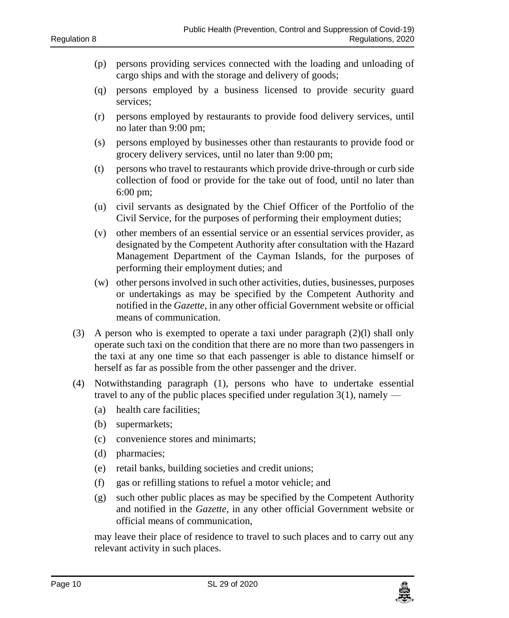- (p) persons providing services connected with the loading and unloading of cargo ships and with the storage and delivery of goods;
- (q) persons employed by a business licensed to provide security guard services;
- (r) persons employed by restaurants to provide food delivery services, until no later than 9:00 pm;
- (s) persons employed by businesses other than restaurants to provide food or grocery delivery services, until no later than 9:00 pm;
- (t) persons who travel to restaurants which provide drive-through or curb side collection of food or provide for the take out of food, until no later than 6:00 pm;
- (u) civil servants as designated by the Chief Officer of the Portfolio of the Civil Service, for the purposes of performing their employment duties;
- (v) other members of an essential service or an essential services provider, as designated by the Competent Authority after consultation with the Hazard Management Department of the Cayman Islands, for the purposes of performing their employment duties; and
- (w) other persons involved in such other activities, duties, businesses, purposes or undertakings as may be specified by the Competent Authority and notified in the *Gazette*, in any other official Government website or official means of communication.
- (3) A person who is exempted to operate a taxi under paragraph (2)(l) shall only operate such taxi on the condition that there are no more than two passengers in the taxi at any one time so that each passenger is able to distance himself or herself as far as possible from the other passenger and the driver.
- (4) Notwithstanding paragraph (1), persons who have to undertake essential travel to any of the public places specified under regulation  $3(1)$ , namely —
	- (a) health care facilities;
	- (b) supermarkets;
	- (c) convenience stores and minimarts;
	- (d) pharmacies;
	- (e) retail banks, building societies and credit unions;
	- (f) gas or refilling stations to refuel a motor vehicle; and
	- (g) such other public places as may be specified by the Competent Authority and notified in the *Gazette*, in any other official Government website or official means of communication,

may leave their place of residence to travel to such places and to carry out any relevant activity in such places.

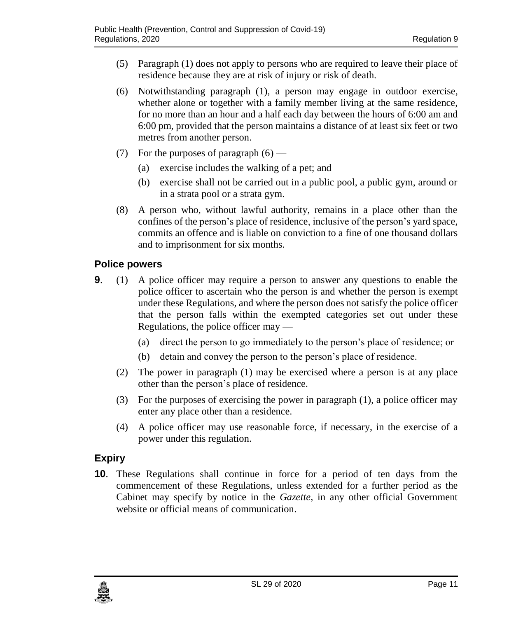- (5) Paragraph (1) does not apply to persons who are required to leave their place of residence because they are at risk of injury or risk of death.
- (6) Notwithstanding paragraph (1), a person may engage in outdoor exercise, whether alone or together with a family member living at the same residence, for no more than an hour and a half each day between the hours of 6:00 am and 6:00 pm, provided that the person maintains a distance of at least six feet or two metres from another person.
- (7) For the purposes of paragraph  $(6)$ 
	- (a) exercise includes the walking of a pet; and
	- (b) exercise shall not be carried out in a public pool, a public gym, around or in a strata pool or a strata gym.
- (8) A person who, without lawful authority, remains in a place other than the confines of the person's place of residence, inclusive of the person's yard space, commits an offence and is liable on conviction to a fine of one thousand dollars and to imprisonment for six months.

### <span id="page-10-0"></span>**9 Police powers**

- **9**. (1) A police officer may require a person to answer any questions to enable the police officer to ascertain who the person is and whether the person is exempt under these Regulations, and where the person does not satisfy the police officer that the person falls within the exempted categories set out under these Regulations, the police officer may —
	- (a) direct the person to go immediately to the person's place of residence; or
	- (b) detain and convey the person to the person's place of residence.
	- (2) The power in paragraph (1) may be exercised where a person is at any place other than the person's place of residence.
	- (3) For the purposes of exercising the power in paragraph (1), a police officer may enter any place other than a residence.
	- (4) A police officer may use reasonable force, if necessary, in the exercise of a power under this regulation.

## <span id="page-10-1"></span>**10 Expiry**

**10**. These Regulations shall continue in force for a period of ten days from the commencement of these Regulations, unless extended for a further period as the Cabinet may specify by notice in the *Gazette*, in any other official Government website or official means of communication.